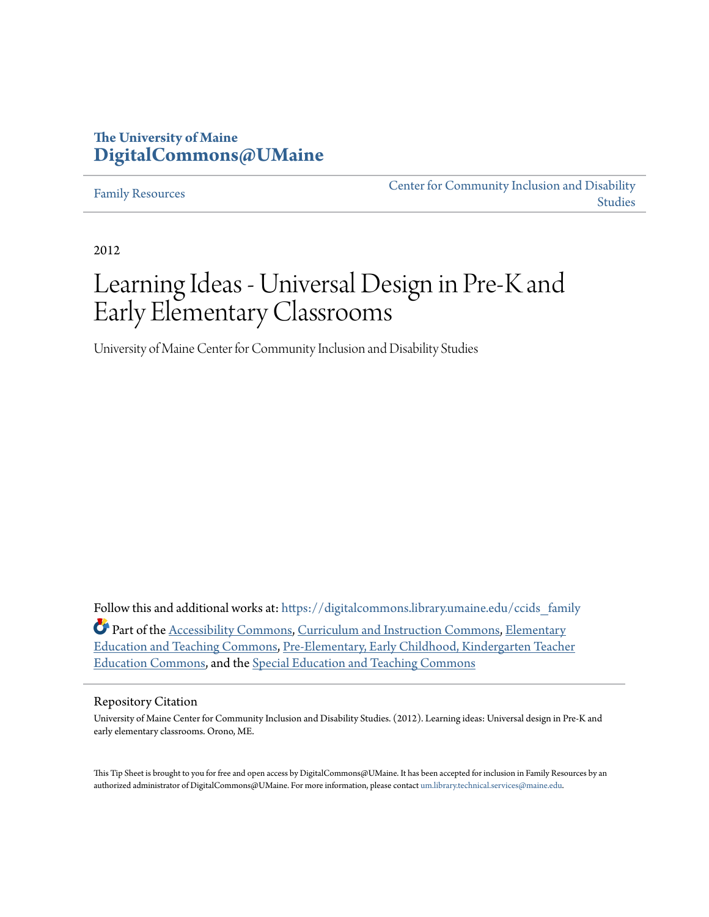#### **The University of Maine [DigitalCommons@UMaine](https://digitalcommons.library.umaine.edu/?utm_source=digitalcommons.library.umaine.edu%2Fccids_family%2F1&utm_medium=PDF&utm_campaign=PDFCoverPages)**

#### [Family Resources](https://digitalcommons.library.umaine.edu/ccids_family?utm_source=digitalcommons.library.umaine.edu%2Fccids_family%2F1&utm_medium=PDF&utm_campaign=PDFCoverPages)

[Center for Community Inclusion and Disability](https://digitalcommons.library.umaine.edu/ccids?utm_source=digitalcommons.library.umaine.edu%2Fccids_family%2F1&utm_medium=PDF&utm_campaign=PDFCoverPages) [Studies](https://digitalcommons.library.umaine.edu/ccids?utm_source=digitalcommons.library.umaine.edu%2Fccids_family%2F1&utm_medium=PDF&utm_campaign=PDFCoverPages)

2012

# Learning Ideas - Universal Design in Pre-K and Early Elementary Classrooms

University of Maine Center for Community Inclusion and Disability Studies

Follow this and additional works at: https://digitalcommons.library.umaine.edu/ccids family Part of the [Accessibility Commons](http://network.bepress.com/hgg/discipline/1318?utm_source=digitalcommons.library.umaine.edu%2Fccids_family%2F1&utm_medium=PDF&utm_campaign=PDFCoverPages), [Curriculum and Instruction Commons,](http://network.bepress.com/hgg/discipline/786?utm_source=digitalcommons.library.umaine.edu%2Fccids_family%2F1&utm_medium=PDF&utm_campaign=PDFCoverPages) [Elementary](http://network.bepress.com/hgg/discipline/805?utm_source=digitalcommons.library.umaine.edu%2Fccids_family%2F1&utm_medium=PDF&utm_campaign=PDFCoverPages) [Education and Teaching Commons,](http://network.bepress.com/hgg/discipline/805?utm_source=digitalcommons.library.umaine.edu%2Fccids_family%2F1&utm_medium=PDF&utm_campaign=PDFCoverPages) [Pre-Elementary, Early Childhood, Kindergarten Teacher](http://network.bepress.com/hgg/discipline/808?utm_source=digitalcommons.library.umaine.edu%2Fccids_family%2F1&utm_medium=PDF&utm_campaign=PDFCoverPages) [Education Commons](http://network.bepress.com/hgg/discipline/808?utm_source=digitalcommons.library.umaine.edu%2Fccids_family%2F1&utm_medium=PDF&utm_campaign=PDFCoverPages), and the [Special Education and Teaching Commons](http://network.bepress.com/hgg/discipline/801?utm_source=digitalcommons.library.umaine.edu%2Fccids_family%2F1&utm_medium=PDF&utm_campaign=PDFCoverPages)

#### Repository Citation

University of Maine Center for Community Inclusion and Disability Studies. (2012). Learning ideas: Universal design in Pre-K and early elementary classrooms. Orono, ME.

This Tip Sheet is brought to you for free and open access by DigitalCommons@UMaine. It has been accepted for inclusion in Family Resources by an authorized administrator of DigitalCommons@UMaine. For more information, please contact [um.library.technical.services@maine.edu.](mailto:um.library.technical.services@maine.edu)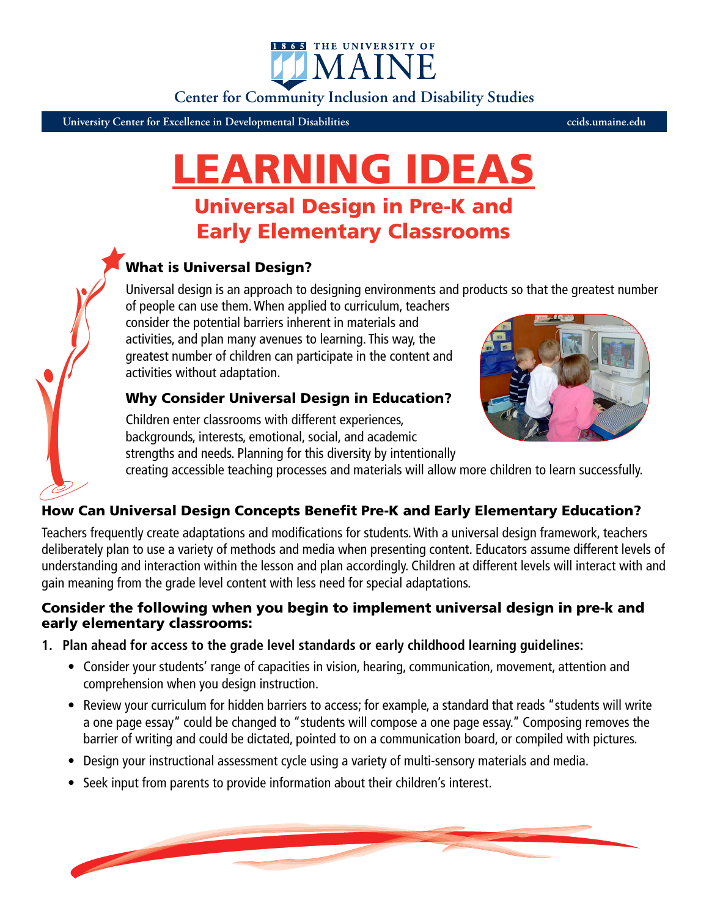IMAIN

**Center for Community Inclusion and Disability Studies**

1865 THE UNIVERSITY OF

**University Center for Excellence in Developmental Disabilities ccids.umaine.edu**

# LEARNING IDEAS

## Universal Design in Pre-K and Early Elementary Classrooms

## What is Universal Design?

Universal design is an approach to designing environments and products so that the greatest number of people can use them. When applied to curriculum, teachers

consider the potential barriers inherent in materials and activities, and plan many avenues to learning. This way, the greatest number of children can participate in the content and activities without adaptation.

### Why Consider Universal Design in Education?

Children enter classrooms with different experiences, backgrounds, interests, emotional, social, and academic strengths and needs. Planning for this diversity by intentionally



creating accessible teaching processes and materials will allow more children to learn successfully.

#### How Can Universal Design Concepts Benefit Pre-K and Early Elementary Education?

Teachers frequently create adaptations and modifications for students. With a universal design framework, teachers deliberately plan to use a variety of methods and media when presenting content. Educators assume different levels of understanding and interaction within the lesson and plan accordingly. Children at different levels will interact with and gain meaning from the grade level content with less need for special adaptations.

#### Consider the following when you begin to implement universal design in pre-k and early elementary classrooms:

- **1. Plan ahead for access to the grade level standards or early childhood learning guidelines:**
	- Consider your students' range of capacities in vision, hearing, communication, movement, attention and comprehension when you design instruction.
	- Review your curriculum for hidden barriers to access; for example, a standard that reads "students will write a one page essay" could be changed to "students will compose a one page essay." Composing removes the barrier of writing and could be dictated, pointed to on a communication board, or compiled with pictures.
	- Design your instructional assessment cycle using a variety of multi-sensory materials and media.
	- Seek input from parents to provide information about their children's interest.